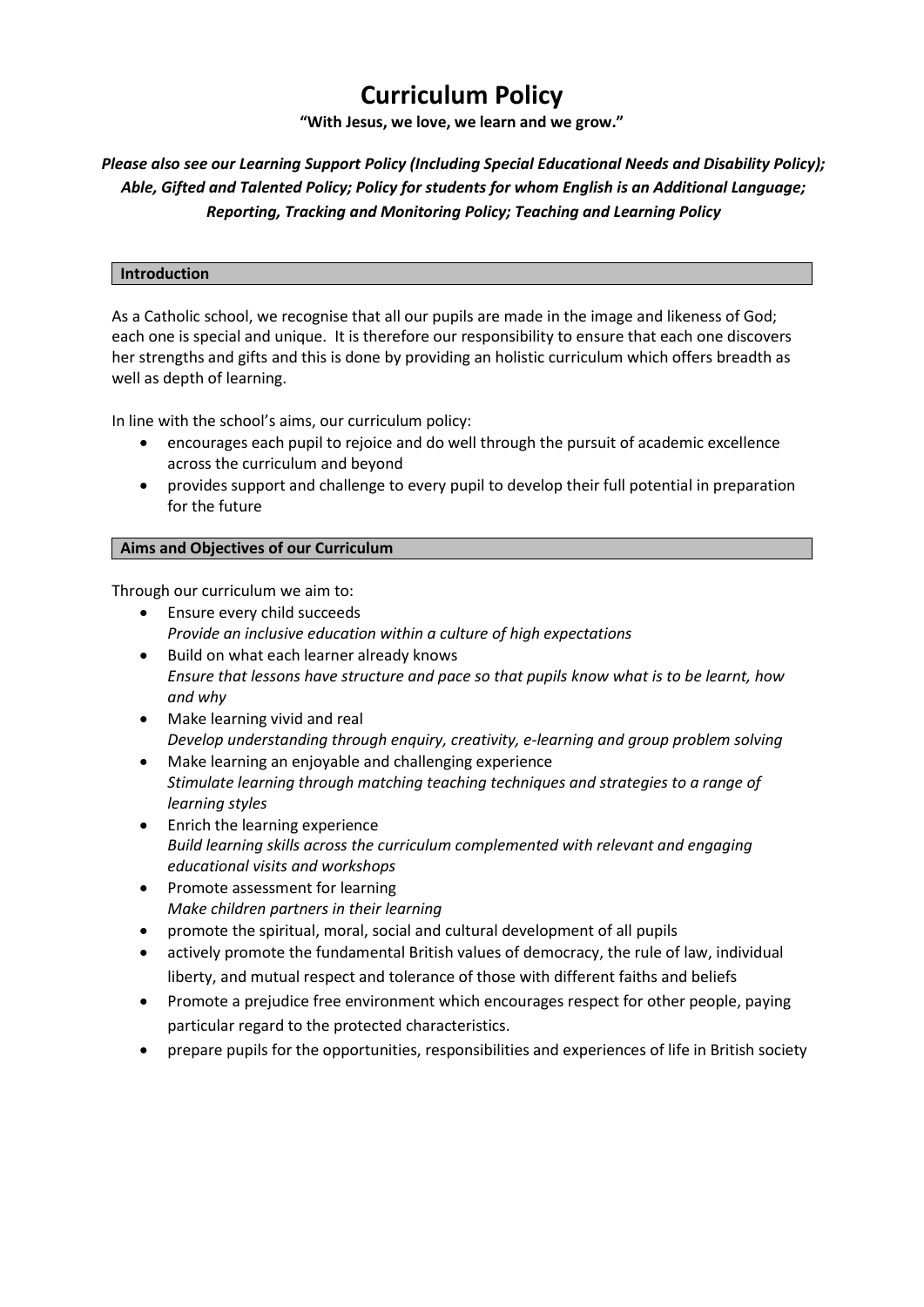# **Curriculum Policy**

**"With Jesus, we love, we learn and we grow."**

# *Please also see our Learning Support Policy (Including Special Educational Needs and Disability Policy); Able, Gifted and Talented Policy; Policy for students for whom English is an Additional Language; Reporting, Tracking and Monitoring Policy; Teaching and Learning Policy*

#### **Introduction**

As a Catholic school, we recognise that all our pupils are made in the image and likeness of God; each one is special and unique. It is therefore our responsibility to ensure that each one discovers her strengths and gifts and this is done by providing an holistic curriculum which offers breadth as well as depth of learning.

In line with the school's aims, our curriculum policy:

- encourages each pupil to rejoice and do well through the pursuit of academic excellence across the curriculum and beyond
- provides support and challenge to every pupil to develop their full potential in preparation for the future

## **Aims and Objectives of our Curriculum**

Through our curriculum we aim to:

- Ensure every child succeeds *Provide an inclusive education within a culture of high expectations*
- Build on what each learner already knows *Ensure that lessons have structure and pace so that pupils know what is to be learnt, how and why*
- Make learning vivid and real *Develop understanding through enquiry, creativity, e-learning and group problem solving*
- Make learning an enjoyable and challenging experience *Stimulate learning through matching teaching techniques and strategies to a range of learning styles*
- Enrich the learning experience *Build learning skills across the curriculum complemented with relevant and engaging educational visits and workshops*
- Promote assessment for learning *Make children partners in their learning*
- promote the spiritual, moral, social and cultural development of all pupils
- actively promote the fundamental British values of democracy, the rule of law, individual liberty, and mutual respect and tolerance of those with different faiths and beliefs
- Promote a prejudice free environment which encourages respect for other people, paying particular regard to the protected characteristics.
- prepare pupils for the opportunities, responsibilities and experiences of life in British society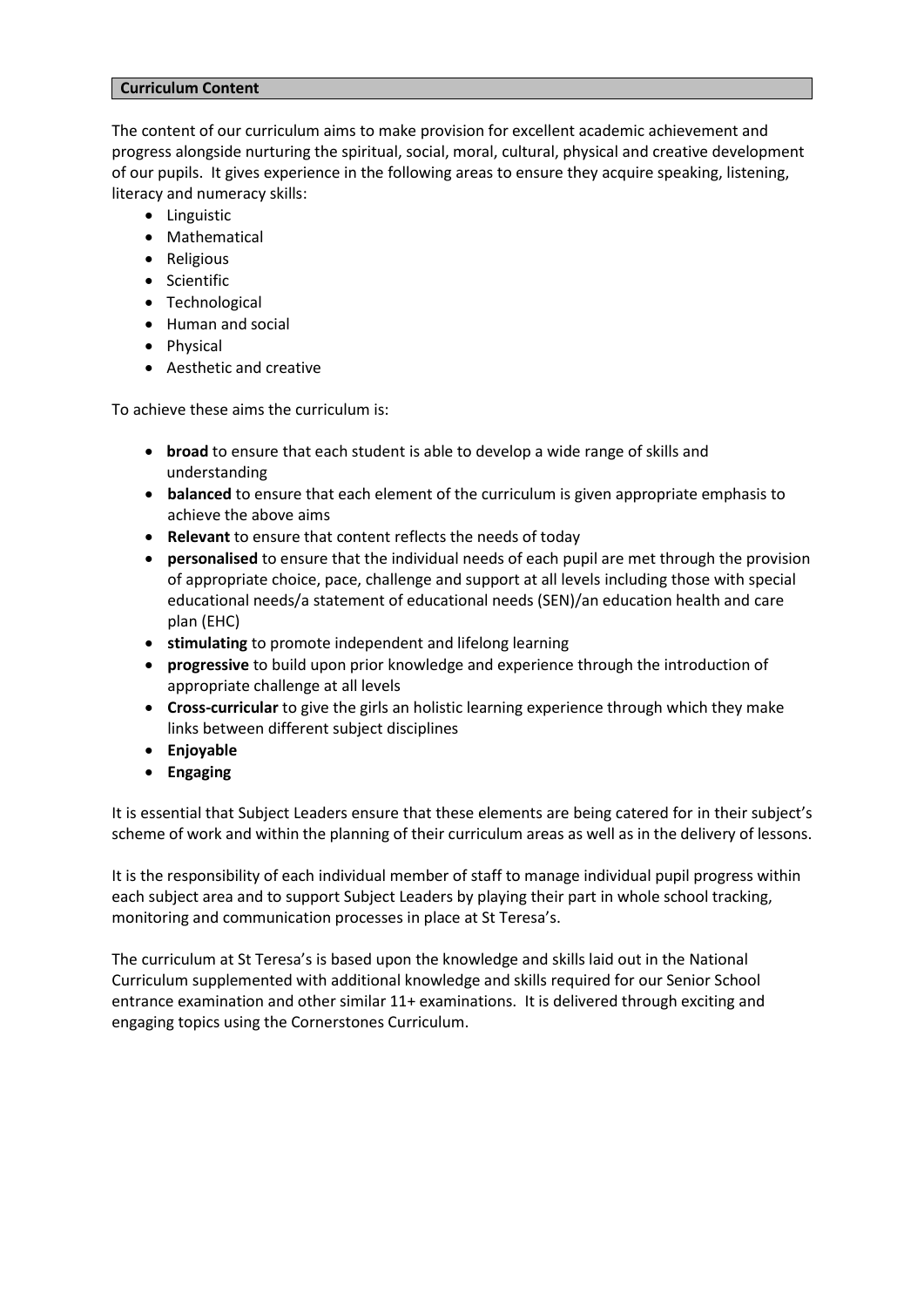#### **Curriculum Content**

The content of our curriculum aims to make provision for excellent academic achievement and progress alongside nurturing the spiritual, social, moral, cultural, physical and creative development of our pupils. It gives experience in the following areas to ensure they acquire speaking, listening, literacy and numeracy skills:

- Linguistic
- Mathematical
- Religious
- Scientific
- Technological
- Human and social
- Physical
- Aesthetic and creative

To achieve these aims the curriculum is:

- **broad** to ensure that each student is able to develop a wide range of skills and understanding
- **balanced** to ensure that each element of the curriculum is given appropriate emphasis to achieve the above aims
- **Relevant** to ensure that content reflects the needs of today
- **personalised** to ensure that the individual needs of each pupil are met through the provision of appropriate choice, pace, challenge and support at all levels including those with special educational needs/a statement of educational needs (SEN)/an education health and care plan (EHC)
- **stimulating** to promote independent and lifelong learning
- **progressive** to build upon prior knowledge and experience through the introduction of appropriate challenge at all levels
- **Cross-curricular** to give the girls an holistic learning experience through which they make links between different subject disciplines
- **Enjoyable**
- **Engaging**

It is essential that Subject Leaders ensure that these elements are being catered for in their subject's scheme of work and within the planning of their curriculum areas as well as in the delivery of lessons.

It is the responsibility of each individual member of staff to manage individual pupil progress within each subject area and to support Subject Leaders by playing their part in whole school tracking, monitoring and communication processes in place at St Teresa's.

The curriculum at St Teresa's is based upon the knowledge and skills laid out in the National Curriculum supplemented with additional knowledge and skills required for our Senior School entrance examination and other similar 11+ examinations. It is delivered through exciting and engaging topics using the Cornerstones Curriculum.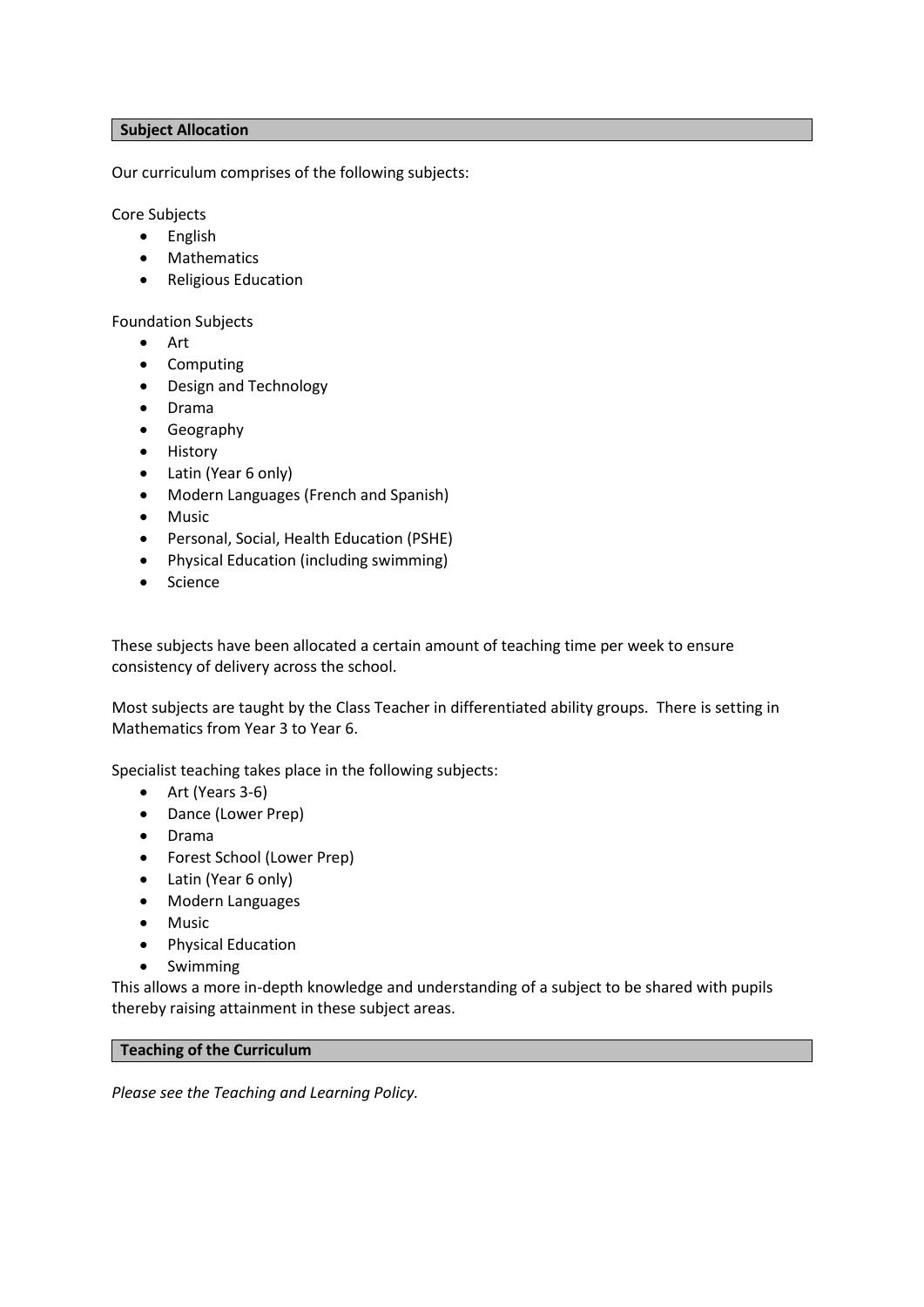# **Subject Allocation**

Our curriculum comprises of the following subjects:

Core Subjects

- English
- Mathematics
- Religious Education

Foundation Subjects

- Art
- Computing
- Design and Technology
- Drama
- Geography
- History
- Latin (Year 6 only)
- Modern Languages (French and Spanish)
- Music
- Personal, Social, Health Education (PSHE)
- Physical Education (including swimming)
- Science

These subjects have been allocated a certain amount of teaching time per week to ensure consistency of delivery across the school.

Most subjects are taught by the Class Teacher in differentiated ability groups. There is setting in Mathematics from Year 3 to Year 6.

Specialist teaching takes place in the following subjects:

- Art (Years 3-6)
- Dance (Lower Prep)
- Drama
- Forest School (Lower Prep)
- Latin (Year 6 only)
- Modern Languages
- Music
- Physical Education
- Swimming

This allows a more in-depth knowledge and understanding of a subject to be shared with pupils thereby raising attainment in these subject areas.

# **Teaching of the Curriculum**

*Please see the Teaching and Learning Policy.*